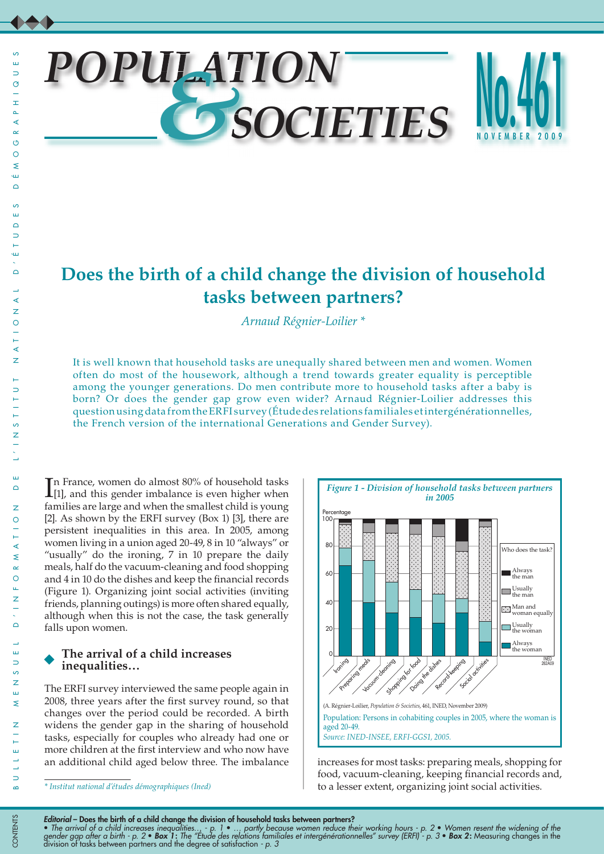ш,  $\Rightarrow$  $\circ$  $\pm$  $\Delta$ ∢

# *POPULATION &SOCIETIES*



# **Does the birth of a child change the division of household tasks between partners?**

*Arnaud Régnier-Loilier \**

It is well known that household tasks are unequally shared between men and women. Women often do most of the housework, although a trend towards greater equality is perceptible among the younger generations. Do men contribute more to household tasks after a baby is born? Or does the gender gap grow even wider? Arnaud Régnier-Loilier addresses this question using data from the ERFI survey (Étude des relations familiales et intergénérationnelles, the French version of the international Generations and Gender Survey).

In France, women do almost 80% of household tasks<br>[1], and this gender imbalance is even higher when [1], and this gender imbalance is even higher when families are large and when the smallest child is young [2]. As shown by the ERFI survey (Box 1) [3], there are persistent inequalities in this area. In 2005, among women living in a union aged 20-49, 8 in 10 "always" or "usually" do the ironing, 7 in 10 prepare the daily meals, half do the vacuum-cleaning and food shopping and 4 in 10 do the dishes and keep the financial records (Figure 1). Organizing joint social activities (inviting friends, planning outings) is more often shared equally, although when this is not the case, the task generally falls upon women.

# **The arrival of a child increases inequalities…**

The ERFI survey interviewed the same people again in 2008, three years after the first survey round, so that changes over the period could be recorded. A birth widens the gender gap in the sharing of household tasks, especially for couples who already had one or more children at the first interview and who now have an additional child aged below three. The imbalance increases for most tasks: preparing meals, shopping for



food, vacuum-cleaning, keeping financial records and, to a lesser extent, organizing joint social activities.

• *The arrival of a child increases inequalities… - p. 1* • *… partly because women reduce their working hours - p. 2* • *Women resent the widening of the gender gap after a birth - p. 2* • *Box 1*: *The "Étude des relations familiales et intergénérationnelles" survey (ERFI) - p. 3* • *Box 2*: Measuring changes in the division of tasks between partners and the degree of satisfaction *- p. 3*

*<sup>\*</sup> Institut national d'études démographiques (Ined)*

*Editorial* – Does the birth of a child change the division of household tasks between partners?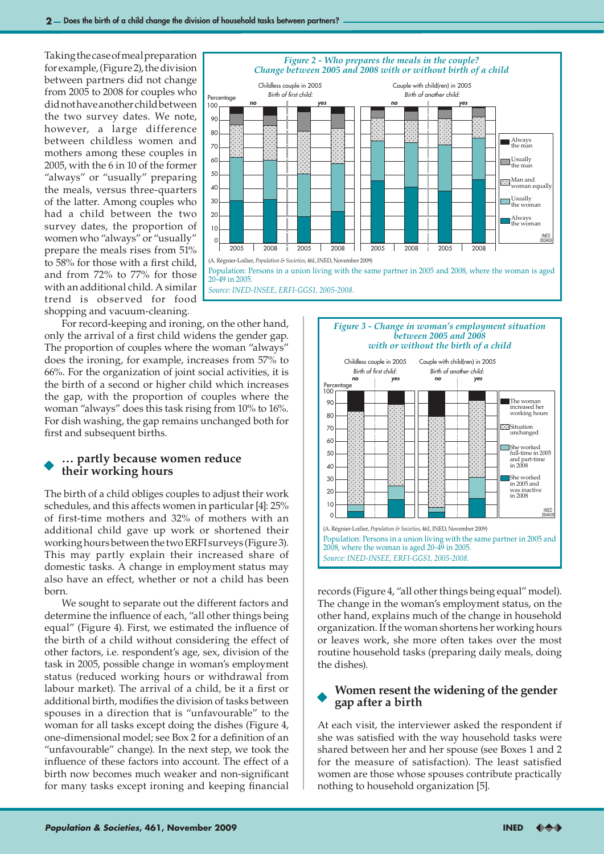Taking the case of meal preparation for example, (Figure 2), the division between partners did not change from 2005 to 2008 for couples who did not have another child between the two survey dates. We note, however, a large difference between childless women and mothers among these couples in 2005, with the 6 in 10 of the former "always" or "usually" preparing the meals, versus three-quarters of the latter. Among couples who had a child between the two survey dates, the proportion of women who "always" or "usually" prepare the meals rises from 51% to 58% for those with a first child, and from 72% to 77% for those with an additional child. A similar trend is observed for food shopping and vacuum-cleaning.



For record-keeping and ironing, on the other hand, only the arrival of a first child widens the gender gap. The proportion of couples where the woman "always" does the ironing, for example, increases from 57% to 66%. For the organization of joint social activities, it is the birth of a second or higher child which increases the gap, with the proportion of couples where the woman "always" does this task rising from 10% to 16%. For dish washing, the gap remains unchanged both for first and subsequent births.

# **… partly because women reduce their working hours**

The birth of a child obliges couples to adjust their work schedules, and this affects women in particular [4]: 25% of first-time mothers and 32% of mothers with an additional child gave up work or shortened their working hours between the two ERFI surveys (Figure 3). This may partly explain their increased share of domestic tasks. A change in employment status may also have an effect, whether or not a child has been born.

We sought to separate out the different factors and determine the influence of each, "all other things being equal" (Figure 4). First, we estimated the influence of the birth of a child without considering the effect of other factors, i.e. respondent's age, sex, division of the task in 2005, possible change in woman's employment status (reduced working hours or withdrawal from labour market). The arrival of a child, be it a first or additional birth, modifies the division of tasks between spouses in a direction that is "unfavourable" to the woman for all tasks except doing the dishes (Figure 4, one-dimensional model; see Box 2 for a definition of an "unfavourable" change). In the next step, we took the influence of these factors into account. The effect of a birth now becomes much weaker and non-significant for many tasks except ironing and keeping financial





records (Figure 4, "all other things being equal" model). The change in the woman's employment status, on the other hand, explains much of the change in household organization. If the woman shortens her working hours or leaves work, she more often takes over the most routine household tasks (preparing daily meals, doing the dishes).

# **Women resent the widening of the gender gap after a birth**

At each visit, the interviewer asked the respondent if she was satisfied with the way household tasks were shared between her and her spouse (see Boxes 1 and 2 for the measure of satisfaction). The least satisfied women are those whose spouses contribute practically nothing to household organization [5].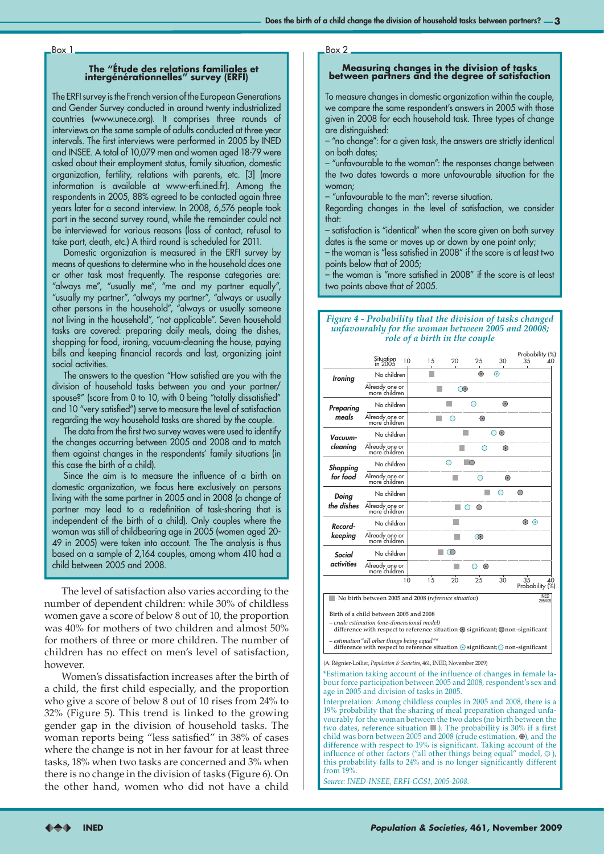## **The "Étude des relations familiales et intergénérationnelles" survey (ERFI)**

The ERFI survey is the French version of the European Generations and Gender Survey conducted in around twenty industrialized countries (www.unece.org). It comprises three rounds of interviews on the same sample of adults conducted at three year intervals. The first interviews were performed in 2005 by INED and INSEE. A total of 10,079 men and women aged 18-79 were asked about their employment status, family situation, domestic organization, fertility, relations with parents, etc. [3] (more information is available at www-erfi.ined.fr). Among the respondents in 2005, 88% agreed to be contacted again three years later for a second interview. In 2008, 6,576 people took part in the second survey round, while the remainder could not be interviewed for various reasons (loss of contact, refusal to take part, death, etc.) A third round is scheduled for 2011.

Domestic organization is measured in the ERFI survey by means of questions to determine who in the household does one or other task most frequently. The response categories are: "always me", "usually me", "me and my partner equally", "usually my partner", "always my partner", "always or usually other persons in the household", "always or usually someone not living in the household", "not applicable". Seven household tasks are covered: preparing daily meals, doing the dishes, shopping for food, ironing, vacuum-cleaning the house, paying bills and keeping financial records and last, organizing joint social activities.

The answers to the question "How satisfied are you with the division of household tasks between you and your partner/ spouse?" (score from 0 to 10, with 0 being "totally dissatisfied" and 10 "very satisfied") serve to measure the level of satisfaction regarding the way household tasks are shared by the couple.

The data from the first two survey waves were used to identify the changes occurring between 2005 and 2008 and to match them against changes in the respondents' family situations (in this case the birth of a child).

Since the aim is to measure the influence of a birth on domestic organization, we focus here exclusively on persons living with the same partner in 2005 and in 2008 (a change of partner may lead to a redefinition of task-sharing that is independent of the birth of a child). Only couples where the woman was still of childbearing age in 2005 (women aged 20- 49 in 2005) were taken into account. The The analysis is thus based on a sample of 2,164 couples, among whom 410 had a child between 2005 and 2008.

The level of satisfaction also varies according to the number of dependent children: while 30% of childless women gave a score of below 8 out of 10, the proportion was 40% for mothers of two children and almost 50% for mothers of three or more children. The number of children has no effect on men's level of satisfaction, however.

Women's dissatisfaction increases after the birth of a child, the first child especially, and the proportion who give a score of below 8 out of 10 rises from 24% to 32% (Figure 5). This trend is linked to the growing gender gap in the division of household tasks. The woman reports being "less satisfied" in 38% of cases where the change is not in her favour for at least three tasks, 18% when two tasks are concerned and 3% when there is no change in the division of tasks (Figure 6). On the other hand, women who did not have a child

Box 1 Box 2

# **Measuring changes in the division of tasks between partners and the degree of satisfaction**

To measure changes in domestic organization within the couple, we compare the same respondent's answers in 2005 with those given in 2008 for each household task. Three types of change are distinguished:

– "no change": for a given task, the answers are strictly identical on both dates;

– "unfavourable to the woman": the responses change between the two dates towards a more unfavourable situation for the woman;

– "unfavourable to the man": reverse situation.

Regarding changes in the level of satisfaction, we consider that:

– satisfaction is "identical" when the score given on both survey dates is the same or moves up or down by one point only;

– the woman is "less satisfied in 2008" if the score is at least two points below that of 2005;

– the woman is "more satisfied in 2008" if the score is at least two points above that of 2005.

# *Figure 4 - Probability that the division of tasks changed unfavourably for the woman between 2005 and 20008; role of a birth in the couple*

|                                           | Situation<br>in 2005<br>10      | 15 | 20       | 25      | 30              | Probability (%)<br>35<br>40 |
|-------------------------------------------|---------------------------------|----|----------|---------|-----------------|-----------------------------|
| <b>Ironing</b>                            | No children                     |    |          | $\odot$ | $_{\odot}$      |                             |
|                                           | Already one or<br>more children |    | ⊙        |         |                 |                             |
| <b>Preparing</b><br>meals                 | No children                     |    |          | ∩       | $\odot$         |                             |
|                                           | Already one or<br>more children |    | ∩        | $\odot$ |                 |                             |
| Vacuum-<br>cleaning                       | No children                     |    |          |         | $_{\odot}$<br>∩ |                             |
|                                           | Already one or<br>more children |    |          | ∩       | $\odot$         |                             |
| <b>Shopping</b><br>for food               | No children                     |    |          | ∩       |                 |                             |
|                                           | Already one or<br>more children |    |          |         | $\odot$         |                             |
| Doing<br>the dishes                       | No children                     |    |          |         |                 | ∩                           |
|                                           | Already one or<br>more children |    |          | ◯<br>∩  |                 |                             |
| Record-<br>keeping                        | No children                     |    |          |         |                 | $\odot$ $\odot$             |
|                                           | Already one or<br>more children |    |          | $\odot$ |                 |                             |
| Social<br><i><u><b>activities</b></u></i> | No children                     |    | ∩        |         |                 |                             |
|                                           | Already one or<br>more children |    |          | $\odot$ |                 |                             |
|                                           | 10                              | 15 | $20^{1}$ | 25      | 30              | 35<br>40<br>Probability (%) |

No birth between 2005 and 2008 (*reference situation*)

Birth of a child between 2005 and 2008

*– crude estimation (one-dimensional model)* difference with respect to reference situation  $\odot$  significant;  $\bigcirc$  non-significant *– estimation "all other things being equal"\**

INED<br>265A09

difference with respect to reference situation  $\odot$  significant;  $\odot$  non-significant

(A. Régnier-Loilier, *Population & Societies*, 461, INED, November 2009)

\*Estimation taking account of the influence of changes in female labour force participation between 2005 and 2008, respondent's sex and age in 2005 and division of tasks in 2005.

Interpretation: Among childless couples in 2005 and 2008, there is a 19% probability that the sharing of meal preparation changed unfavourably for the woman between the two dates (no birth between the two dates, reference situation **I**). The probability is 30% if a first child was born between 2005 and 2008 (crude estimation,  $\odot$ ), and the difference with respect to 19% is significant. Taking account of the influence of other factors ("all other things being equal" model,  $\odot$  ), this probability falls to 24% and is no longer significantly different from 19%.

*Source: INED-INSEE, ERFI-GGS1, 2005-2008.*